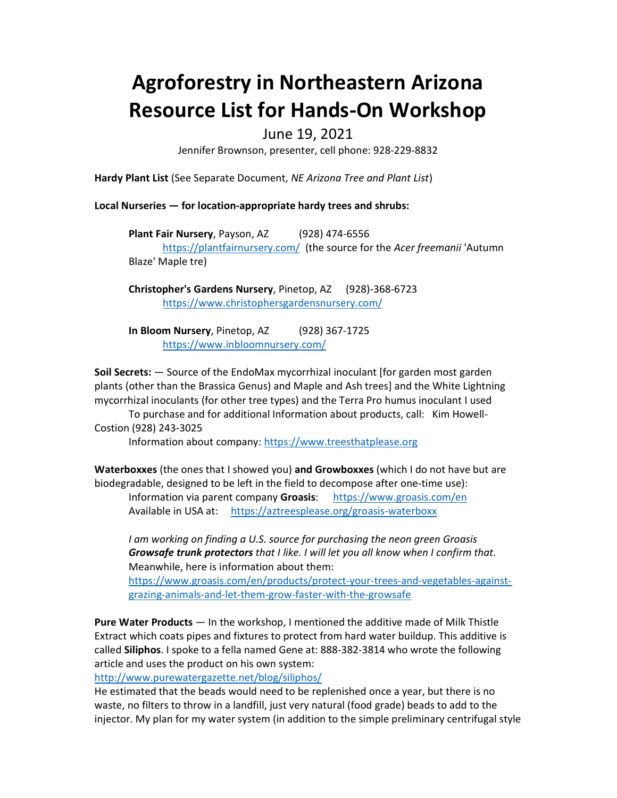# Agroforestry in Northeastern Arizona Resource List for Hands-On Workshop

# June 19, 2021

Jennifer Brownson, presenter, cell phone: 928-229-8832

Hardy Plant List (See Separate Document, NE Arizona Tree and Plant List)

Local Nurseries — for location-appropriate hardy trees and shrubs:

Plant Fair Nursery, Payson, AZ (928) 474-6556 https://plantfairnursery.com/ (the source for the Acer freemanii 'Autumn Blaze' Maple tre)

Christopher's Gardens Nursery, Pinetop, AZ (928)-368-6723 https://www.christophersgardensnursery.com/

In Bloom Nursery, Pinetop, AZ (928) 367-1725 https://www.inbloomnursery.com/

Soil Secrets: — Source of the EndoMax mycorrhizal inoculant [for garden most garden plants (other than the Brassica Genus) and Maple and Ash trees] and the White Lightning mycorrhizal inoculants (for other tree types) and the Terra Pro humus inoculant I used To purchase and for additional Information about products, call: Kim Howell-

Costion (928) 243-3025

Information about company: https://www.treesthatplease.org

Waterboxxes (the ones that I showed you) and Growboxxes (which I do not have but are biodegradable, designed to be left in the field to decompose after one-time use):

Information via parent company Groasis: https://www.groasis.com/en Available in USA at: https://aztreesplease.org/groasis-waterboxx

I am working on finding a U.S. source for purchasing the neon green Groasis Growsafe trunk protectors that I like. I will let you all know when I confirm that. Meanwhile, here is information about them:

https://www.groasis.com/en/products/protect-your-trees-and-vegetables-againstgrazing-animals-and-let-them-grow-faster-with-the-growsafe

Pure Water Products — In the workshop, I mentioned the additive made of Milk Thistle Extract which coats pipes and fixtures to protect from hard water buildup. This additive is called Siliphos. I spoke to a fella named Gene at: 888-382-3814 who wrote the following article and uses the product on his own system:

http://www.purewatergazette.net/blog/siliphos/

He estimated that the beads would need to be replenished once a year, but there is no waste, no filters to throw in a landfill, just very natural (food grade) beads to add to the injector. My plan for my water system (in addition to the simple preliminary centrifugal style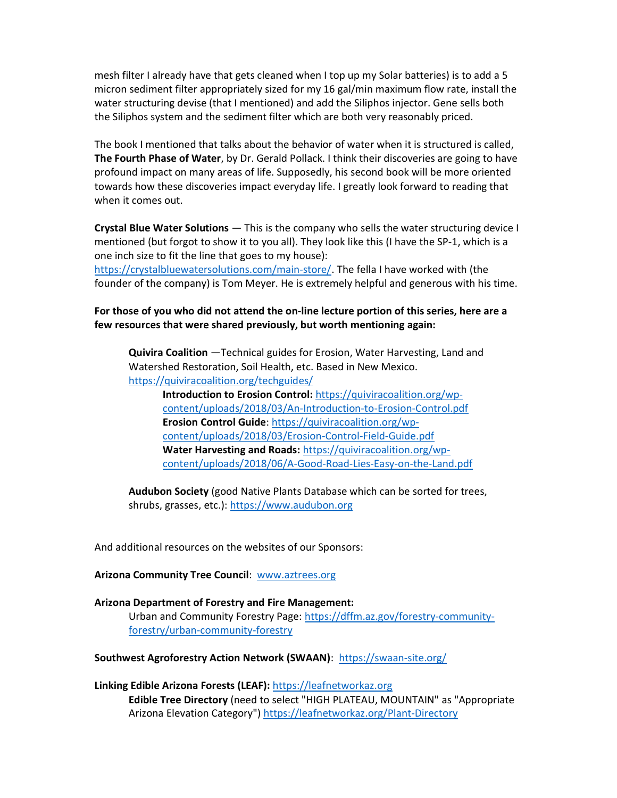mesh filter I already have that gets cleaned when I top up my Solar batteries) is to add a 5 micron sediment filter appropriately sized for my 16 gal/min maximum flow rate, install the water structuring devise (that I mentioned) and add the Siliphos injector. Gene sells both the Siliphos system and the sediment filter which are both very reasonably priced.

The book I mentioned that talks about the behavior of water when it is structured is called, **The Fourth Phase of Water**, by Dr. Gerald Pollack. I think their discoveries are going to have profound impact on many areas of life. Supposedly, his second book will be more oriented towards how these discoveries impact everyday life. I greatly look forward to reading that when it comes out.

Crystal Blue Water Solutions - This is the company who sells the water structuring device I mentioned (but forgot to show it to you all). They look like this (I have the SP-1, which is a one inch size to fit the line that goes to my house):

https://crystalbluewatersolutions.com/main-store/. The fella I have worked with (the founder of the company) is Tom Meyer. He is extremely helpful and generous with his time.

## For those of you who did not attend the on-line lecture portion of this series, here are a few resources that were shared previously, but worth mentioning again:

Quivira Coalition —Technical guides for Erosion, Water Harvesting, Land and Watershed Restoration, Soil Health, etc. Based in New Mexico. https://quiviracoalition.org/techguides/

Introduction to Erosion Control: https://quiviracoalition.org/wpcontent/uploads/2018/03/An-Introduction-to-Erosion-Control.pdf Erosion Control Guide: https://quiviracoalition.org/wpcontent/uploads/2018/03/Erosion-Control-Field-Guide.pdf Water Harvesting and Roads: https://quiviracoalition.org/wpcontent/uploads/2018/06/A-Good-Road-Lies-Easy-on-the-Land.pdf

Audubon Society (good Native Plants Database which can be sorted for trees, shrubs, grasses, etc.): https://www.audubon.org

And additional resources on the websites of our Sponsors:

### Arizona Community Tree Council: www.aztrees.org

Arizona Department of Forestry and Fire Management: Urban and Community Forestry Page: https://dffm.az.gov/forestry-communityforestry/urban-community-forestry

### Southwest Agroforestry Action Network (SWAAN): https://swaan-site.org/

Linking Edible Arizona Forests (LEAF): https://leafnetworkaz.org Edible Tree Directory (need to select "HIGH PLATEAU, MOUNTAIN" as "Appropriate Arizona Elevation Category") https://leafnetworkaz.org/Plant-Directory